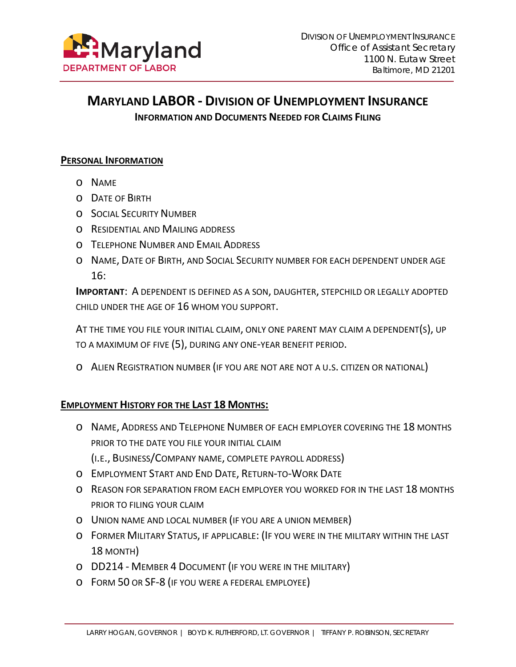

# **MARYLAND LABOR - DIVISION OF UNEMPLOYMENT INSURANCE INFORMATION AND DOCUMENTS NEEDED FOR CLAIMS FILING**

## **PERSONAL INFORMATION**

- o NAME
- o DATE OF BIRTH
- o SOCIAL SECURITY NUMBER
- o RESIDENTIAL AND MAILING ADDRESS
- o TELEPHONE NUMBER AND EMAIL ADDRESS
- o NAME, DATE OF BIRTH, AND SOCIAL SECURITY NUMBER FOR EACH DEPENDENT UNDER AGE 16:

**IMPORTANT**: A DEPENDENT IS DEFINED AS A SON, DAUGHTER, STEPCHILD OR LEGALLY ADOPTED CHILD UNDER THE AGE OF 16 WHOM YOU SUPPORT.

AT THE TIME YOU FILE YOUR INITIAL CLAIM, ONLY ONE PARENT MAY CLAIM A DEPENDENT(S), UP TO A MAXIMUM OF FIVE (5), DURING ANY ONE-YEAR BENEFIT PERIOD.

o ALIEN REGISTRATION NUMBER (IF YOU ARE NOT ARE NOT A U.S. CITIZEN OR NATIONAL)

### **EMPLOYMENT HISTORY FOR THE LAST 18 MONTHS:**

- o NAME, ADDRESS AND TELEPHONE NUMBER OF EACH EMPLOYER COVERING THE 18 MONTHS PRIOR TO THE DATE YOU FILE YOUR INITIAL CLAIM (I.E., BUSINESS/COMPANY NAME, COMPLETE PAYROLL ADDRESS)
- o EMPLOYMENT START AND END DATE, RETURN-TO-WORK DATE
- o REASON FOR SEPARATION FROM EACH EMPLOYER YOU WORKED FOR IN THE LAST 18 MONTHS PRIOR TO FILING YOUR CLAIM
- o UNION NAME AND LOCAL NUMBER (IF YOU ARE A UNION MEMBER)
- o FORMER MILITARY STATUS, IF APPLICABLE: (IF YOU WERE IN THE MILITARY WITHIN THE LAST 18 MONTH)
- o DD214 MEMBER 4 DOCUMENT (IF YOU WERE IN THE MILITARY)
- o FORM 50 OR SF-8 (IF YOU WERE A FEDERAL EMPLOYEE)